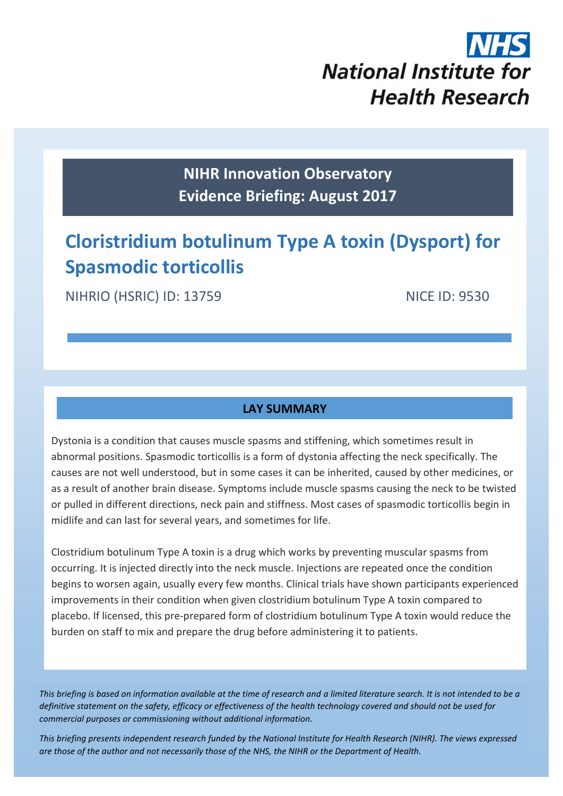# **National Institute for Health Research**

**NIHR Innovation Observatory Evidence Briefing: August 2017**

# **Cloristridium botulinum Type A toxin (Dysport) for Spasmodic torticollis**

NIHRIO (HSRIC) ID: 13759 NICE ID: 9530

# **LAY SUMMARY**

Dystonia is a condition that causes muscle spasms and stiffening, which sometimes result in abnormal positions. Spasmodic torticollis is a form of dystonia affecting the neck specifically. The causes are not well understood, but in some cases it can be inherited, caused by other medicines, or as a result of another brain disease. Symptoms include muscle spasms causing the neck to be twisted or pulled in different directions, neck pain and stiffness. Most cases of spasmodic torticollis begin in midlife and can last for several years, and sometimes for life.

Clostridium botulinum Type A toxin is a drug which works by preventing muscular spasms from occurring. It is injected directly into the neck muscle. Injections are repeated once the condition begins to worsen again, usually every few months. Clinical trials have shown participants experienced improvements in their condition when given clostridium botulinum Type A toxin compared to placebo. If licensed, this pre-prepared form of clostridium botulinum Type A toxin would reduce the burden on staff to mix and prepare the drug before administering it to patients.

*This briefing is based on information available at the time of research and a limited literature search. It is not intended to be a definitive statement on the safety, efficacy or effectiveness of the health technology covered and should not be used for commercial purposes or commissioning without additional information.*

1 *This briefing presents independent research funded by the National Institute for Health Research (NIHR). The views expressed are those of the author and not necessarily those of the NHS, the NIHR or the Department of Health.*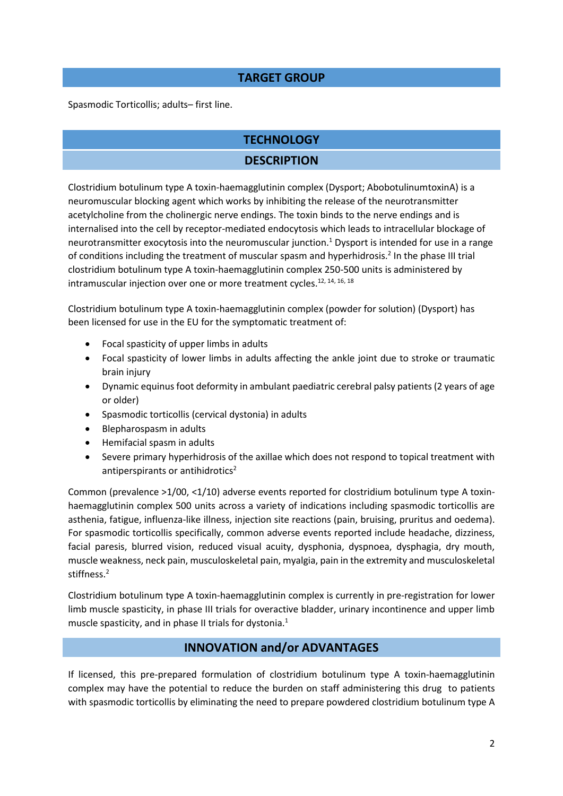#### **TARGET GROUP**

Spasmodic Torticollis; adults– first line.

## **TECHNOLOGY**

#### <span id="page-1-1"></span><span id="page-1-0"></span>**DESCRIPTION**

Clostridium botulinum type A toxin-haemagglutinin complex (Dysport; AbobotulinumtoxinA) is a neuromuscular blocking agent which works by inhibiting the release of the neurotransmitter acetylcholine from the cholinergic nerve endings. The toxin binds to the nerve endings and is internalised into the cell by receptor-mediated endocytosis which leads to intracellular blockage of neurotransmitter exocytosis into the neuromuscular junction.<sup>1</sup> Dysport is intended for use in a range of conditions including the treatment of muscular spasm and hyperhidrosis.<sup>2</sup> In the phase III trial clostridium botulinum type A toxin-haemagglutinin complex 250-500 units is administered by intramuscular injection over one or more treatment cycles.<sup>[12,](#page-4-0) [14,](#page-4-1) [16,](#page-6-0) [18](#page-6-1)</sup>

Clostridium botulinum type A toxin-haemagglutinin complex (powder for solution) (Dysport) has been licensed for use in the EU for the symptomatic treatment of:

- Focal spasticity of upper limbs in adults
- Focal spasticity of lower limbs in adults affecting the ankle joint due to stroke or traumatic brain injury
- Dynamic equinus foot deformity in ambulant paediatric cerebral palsy patients (2 years of age or older)
- Spasmodic torticollis (cervical dystonia) in adults
- Blepharospasm in adults
- Hemifacial spasm in adults
- Severe primary hyperhidrosis of the axillae which does not respond to topical treatment with antiper[s](#page-1-0)pirants or antihidrotics<sup>2</sup>

Common (prevalence >1/00, <1/10) adverse events reported for clostridium botulinum type A toxinhaemagglutinin complex 500 units across a variety of indications including spasmodic torticollis are asthenia, fatigue, influenza-like illness, injection site reactions (pain, bruising, pruritus and oedema). For spasmodic torticollis specifically, common adverse events reported include headache, dizziness, facial paresis, blurred vision, reduced visual acuity, dysphonia, dyspnoea, dysphagia, dry mouth, muscle weakness, neck pain, musculoskeletal pain, myalgia, pain in the extremity and musculoskeletal stiffness.<sup>[2](#page-1-0)</sup>

Clostridium botulinum type A toxin-haemagglutinin complex is currently in pre-registration for lower limb muscle spasticity, in phase III trials for overactive bladder, urinary incontinence and upper limb muscle spasticity, and in phase II trials for dystonia[.](#page-1-1)<sup>1</sup>

#### **INNOVATION and/or ADVANTAGES**

If licensed, this pre-prepared formulation of clostridium botulinum type A toxin-haemagglutinin complex may have the potential to reduce the burden on staff administering this drug to patients with spasmodic torticollis by eliminating the need to prepare powdered clostridium botulinum type A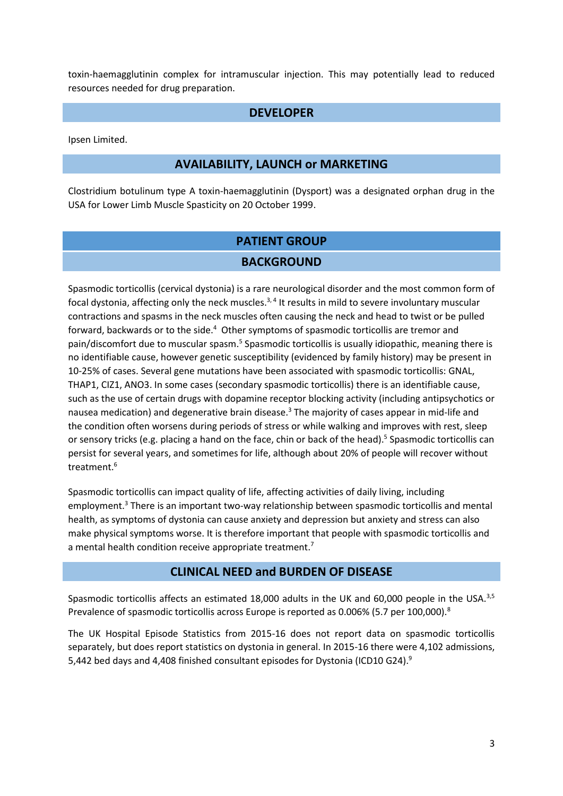toxin-haemagglutinin complex for intramuscular injection. This may potentially lead to reduced resources needed for drug preparation.

#### **DEVELOPER**

Ipsen Limited.

#### **AVAILABILITY, LAUNCH or MARKETING**

Clostridium botulinum type A toxin-haemagglutinin (Dysport) was a designated orphan drug in the USA for Lower Limb Muscle Spasticity on 20 October 1999.

#### **PATIENT GROUP**

#### <span id="page-2-2"></span><span id="page-2-1"></span><span id="page-2-0"></span>**BACKGROUND**

Spasmodic torticollis (cervical dystonia) is a rare neurological disorder and the most common form of focal dystonia, affecting only the neck muscles.<sup>3,4</sup> It results in mild to severe involuntary muscular contractions and spasms in the neck muscles often causing the neck and head to twist or be pulled forward, backwards or to the side.<sup>4</sup> Other symptoms of spasmodic torticollis are tremor and pain/discomfort due to muscular spasm[.](#page-2-1)<sup>5</sup> Spasmodic torticollis is usually idiopathic, meaning there is no identifiable cause, however genetic susceptibility (evidenced by family history) may be present in 10-25% of cases. Several gene mutations have been associated with spasmodic torticollis: GNAL, THAP1, CIZ1, ANO3. In some cases (secondary spasmodic torticollis) there is an identifiable cause, such as the use of certain drugs with dopamine receptor blocking activity (including antipsychotics or nausea medication) and degenerative brain diseas[e.](#page-2-2)<sup>3</sup> The majority of cases appear in mid-life and the condition often worsens during periods of stress or while walking and improves with rest, sleep or sensory tricks (e.g. placing a hand on the face, chin or back of the head).<sup>5</sup> Spasmodic torticollis can persist for several years, and sometimes for life, although about 20% of people will recover without treatment. 6

<span id="page-2-3"></span>Spasmodic torticollis can impact quality of life, affecting activities of daily living, including employment.<sup>[3](#page-2-2)</sup> There is an important two-way relationship between spasmodic torticollis and mental health, as symptoms of dystonia can cause anxiety and depression but anxiety and stress can also make physical symptoms worse. It is therefore important that people with spasmodic torticollis and a mental health condition receive appropriate treatment.<sup>7</sup>

#### **CLINICAL NEED and BURDEN OF DISEASE**

Spasmodic torticollis affects an estimated 18,000 adults in the UK and 60,000 people in the USA.<sup>[3,](#page-2-2)[5](#page-2-1)</sup> Prevalence of spasmodic torticollis across Europe is reported as 0.006% (5.7 per 100,000).<sup>8</sup>

The UK Hospital Episode Statistics from 2015-16 does not report data on spasmodic torticollis separately, but does report statistics on dystonia in general. In 2015-16 there were 4,102 admissions, 5,442 bed days and 4,408 finished consultant episodes for Dystonia (ICD10 G24).<sup>9</sup>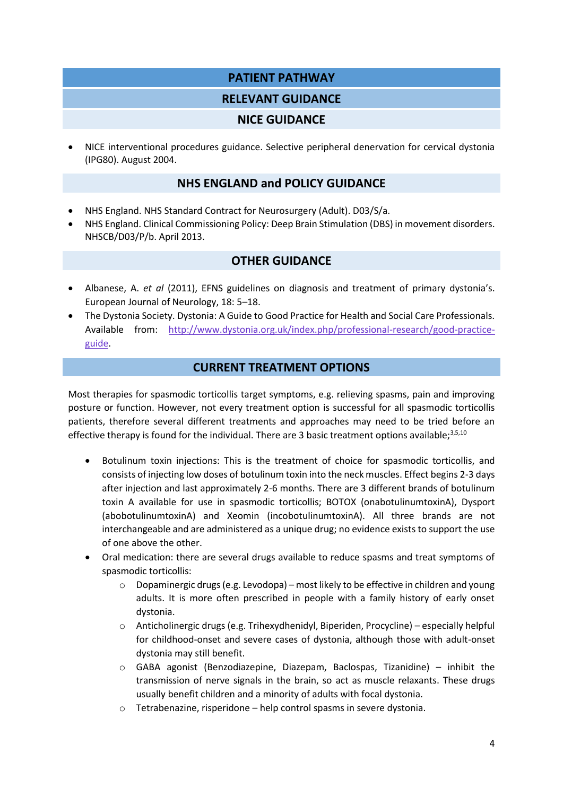#### **PATIENT PATHWAY**

#### **RELEVANT GUIDANCE**

#### **NICE GUIDANCE**

 NICE interventional procedures guidance. Selective peripheral denervation for cervical dystonia (IPG80). August 2004.

#### **NHS ENGLAND and POLICY GUIDANCE**

- NHS England. NHS Standard Contract for Neurosurgery (Adult). D03/S/a.
- NHS England. Clinical Commissioning Policy: Deep Brain Stimulation (DBS) in movement disorders. NHSCB/D03/P/b. April 2013.

#### **OTHER GUIDANCE**

- Albanese, A. *et al* (2011), EFNS guidelines on diagnosis and treatment of primary dystonia's. European Journal of Neurology, 18: 5–18.
- The Dystonia Society. Dystonia: A Guide to Good Practice for Health and Social Care Professionals. Available from: [http://www.dystonia.org.uk/index.php/professional-research/good-practice](http://www.dystonia.org.uk/index.php/professional-research/good-practice-guide)[guide.](http://www.dystonia.org.uk/index.php/professional-research/good-practice-guide)

#### **CURRENT TREATMENT OPTIONS**

Most therapies for spasmodic torticollis target symptoms, e.g. relieving spasms, pain and improving posture or function. However, not every treatment option is successful for all spasmodic torticollis patients, therefore several different treatments and approaches may need to be tried before an effective therapy is found for the individual. There are 3 basic treatment options available;<sup>[3,](#page-2-2)[5,1](#page-2-1)0</sup>

- Botulinum toxin injections: This is the treatment of choice for spasmodic torticollis, and consists of injecting low doses of botulinum toxin into the neck muscles. Effect begins 2-3 days after injection and last approximately 2-6 months. There are 3 different brands of botulinum toxin A available for use in spasmodic torticollis; BOTOX (onabotulinumtoxinA), Dysport (abobotulinumtoxinA) and Xeomin (incobotulinumtoxinA). All three brands are not interchangeable and are administered as a unique drug; no evidence exists to support the use of one above the other.
- Oral medication: there are several drugs available to reduce spasms and treat symptoms of spasmodic torticollis:
	- $\circ$  Dopaminergic drugs (e.g. Levodopa) most likely to be effective in children and young adults. It is more often prescribed in people with a family history of early onset dystonia.
	- $\circ$  Anticholinergic drugs (e.g. Trihexydhenidyl, Biperiden, Procycline) especially helpful for childhood-onset and severe cases of dystonia, although those with adult-onset dystonia may still benefit.
	- o GABA agonist (Benzodiazepine, Diazepam, Baclospas, Tizanidine) inhibit the transmission of nerve signals in the brain, so act as muscle relaxants. These drugs usually benefit children and a minority of adults with focal dystonia.
	- o Tetrabenazine, risperidone help control spasms in severe dystonia.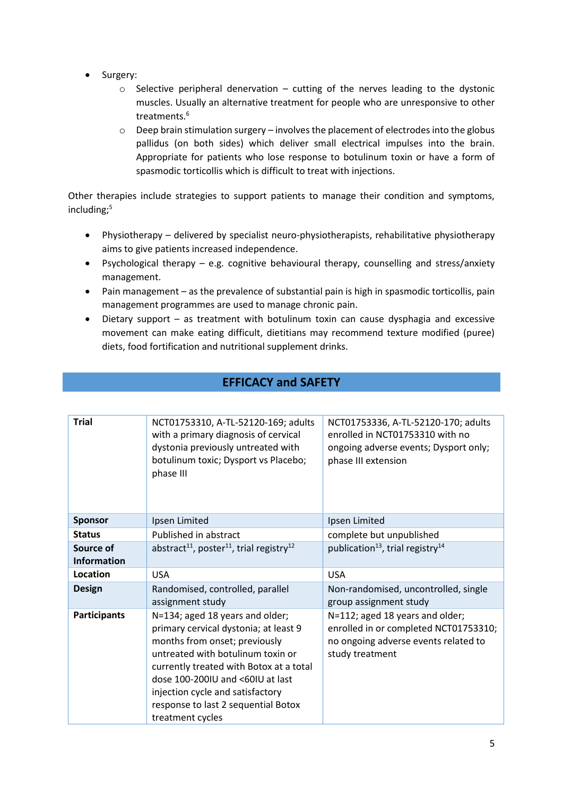- Surgery:
	- $\circ$  Selective peripheral denervation cutting of the nerves leading to the dystonic muscles. Usually an alternative treatment for people who are unresponsive to other treatment[s.](#page-2-3)<sup>6</sup>
	- $\circ$  Deep brain stimulation surgery involves the placement of electrodes into the globus pallidus (on both sides) which deliver small electrical impulses into the brain. Appropriate for patients who lose response to botulinum toxin or have a form of spasmodic torticollis which is difficult to treat with injections.

Other therapies include strategies to support patients to manage their condition and symptoms, including[;](#page-2-1)<sup>5</sup>

- Physiotherapy delivered by specialist neuro-physiotherapists, rehabilitative physiotherapy aims to give patients increased independence.
- Psychological therapy e.g. cognitive behavioural therapy, counselling and stress/anxiety management.
- Pain management as the prevalence of substantial pain is high in spasmodic torticollis, pain management programmes are used to manage chronic pain.
- Dietary support as treatment with botulinum toxin can cause dysphagia and excessive movement can make eating difficult, dietitians may recommend texture modified (puree) diets, food fortification and nutritional supplement drinks.

## <span id="page-4-3"></span><span id="page-4-2"></span><span id="page-4-1"></span><span id="page-4-0"></span>**EFFICACY and SAFETY**

| <b>Trial</b>                    | NCT01753310, A-TL-52120-169; adults<br>with a primary diagnosis of cervical<br>dystonia previously untreated with<br>botulinum toxic; Dysport vs Placebo;<br>phase III                                                                                                                                                       | NCT01753336, A-TL-52120-170; adults<br>enrolled in NCT01753310 with no<br>ongoing adverse events; Dysport only;<br>phase III extension |
|---------------------------------|------------------------------------------------------------------------------------------------------------------------------------------------------------------------------------------------------------------------------------------------------------------------------------------------------------------------------|----------------------------------------------------------------------------------------------------------------------------------------|
| <b>Sponsor</b>                  | Ipsen Limited                                                                                                                                                                                                                                                                                                                | Ipsen Limited                                                                                                                          |
| <b>Status</b>                   | Published in abstract                                                                                                                                                                                                                                                                                                        | complete but unpublished                                                                                                               |
| Source of<br><b>Information</b> | abstract <sup>11</sup> , poster <sup>11</sup> , trial registry <sup>12</sup>                                                                                                                                                                                                                                                 | publication <sup>13</sup> , trial registry <sup>14</sup>                                                                               |
| Location                        | <b>USA</b>                                                                                                                                                                                                                                                                                                                   | <b>USA</b>                                                                                                                             |
| <b>Design</b>                   | Randomised, controlled, parallel<br>assignment study                                                                                                                                                                                                                                                                         | Non-randomised, uncontrolled, single<br>group assignment study                                                                         |
| <b>Participants</b>             | N=134; aged 18 years and older;<br>primary cervical dystonia; at least 9<br>months from onset; previously<br>untreated with botulinum toxin or<br>currently treated with Botox at a total<br>dose 100-200IU and <60IU at last<br>injection cycle and satisfactory<br>response to last 2 sequential Botox<br>treatment cycles | N=112; aged 18 years and older;<br>enrolled in or completed NCT01753310;<br>no ongoing adverse events related to<br>study treatment    |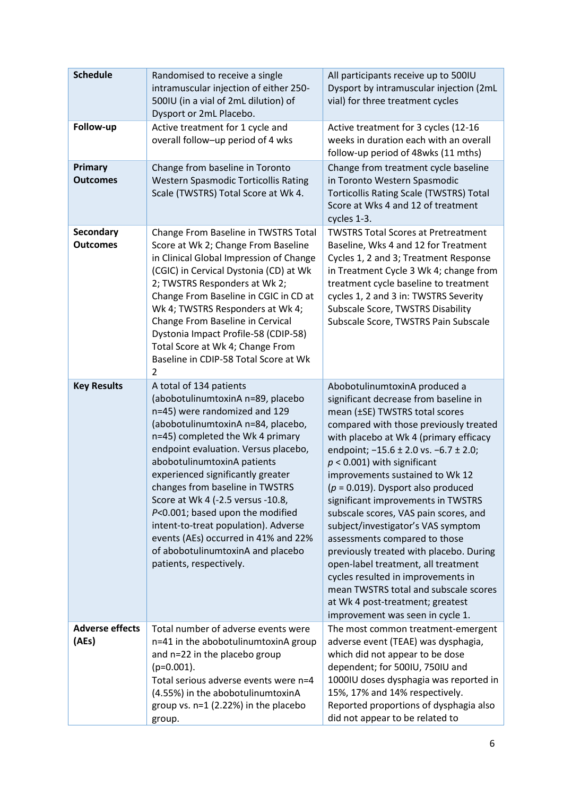| <b>Schedule</b>                     | Randomised to receive a single<br>intramuscular injection of either 250-<br>500IU (in a vial of 2mL dilution) of<br>Dysport or 2mL Placebo.                                                                                                                                                                                                                                                                                                                                                                                                     | All participants receive up to 500IU<br>Dysport by intramuscular injection (2mL<br>vial) for three treatment cycles                                                                                                                                                                                                                                                                                                                                                                                                                                                                                                                                                                                                                                         |
|-------------------------------------|-------------------------------------------------------------------------------------------------------------------------------------------------------------------------------------------------------------------------------------------------------------------------------------------------------------------------------------------------------------------------------------------------------------------------------------------------------------------------------------------------------------------------------------------------|-------------------------------------------------------------------------------------------------------------------------------------------------------------------------------------------------------------------------------------------------------------------------------------------------------------------------------------------------------------------------------------------------------------------------------------------------------------------------------------------------------------------------------------------------------------------------------------------------------------------------------------------------------------------------------------------------------------------------------------------------------------|
| Follow-up                           | Active treatment for 1 cycle and<br>overall follow-up period of 4 wks                                                                                                                                                                                                                                                                                                                                                                                                                                                                           | Active treatment for 3 cycles (12-16<br>weeks in duration each with an overall<br>follow-up period of 48wks (11 mths)                                                                                                                                                                                                                                                                                                                                                                                                                                                                                                                                                                                                                                       |
| Primary<br><b>Outcomes</b>          | Change from baseline in Toronto<br><b>Western Spasmodic Torticollis Rating</b><br>Scale (TWSTRS) Total Score at Wk 4.                                                                                                                                                                                                                                                                                                                                                                                                                           | Change from treatment cycle baseline<br>in Toronto Western Spasmodic<br><b>Torticollis Rating Scale (TWSTRS) Total</b><br>Score at Wks 4 and 12 of treatment<br>cycles 1-3.                                                                                                                                                                                                                                                                                                                                                                                                                                                                                                                                                                                 |
| <b>Secondary</b><br><b>Outcomes</b> | Change From Baseline in TWSTRS Total<br>Score at Wk 2; Change From Baseline<br>in Clinical Global Impression of Change<br>(CGIC) in Cervical Dystonia (CD) at Wk<br>2; TWSTRS Responders at Wk 2;<br>Change From Baseline in CGIC in CD at<br>Wk 4; TWSTRS Responders at Wk 4;<br>Change From Baseline in Cervical<br>Dystonia Impact Profile-58 (CDIP-58)<br>Total Score at Wk 4; Change From<br>Baseline in CDIP-58 Total Score at Wk<br>2                                                                                                    | <b>TWSTRS Total Scores at Pretreatment</b><br>Baseline, Wks 4 and 12 for Treatment<br>Cycles 1, 2 and 3; Treatment Response<br>in Treatment Cycle 3 Wk 4; change from<br>treatment cycle baseline to treatment<br>cycles 1, 2 and 3 in: TWSTRS Severity<br>Subscale Score, TWSTRS Disability<br>Subscale Score, TWSTRS Pain Subscale                                                                                                                                                                                                                                                                                                                                                                                                                        |
| <b>Key Results</b>                  | A total of 134 patients<br>(abobotulinumtoxinA n=89, placebo<br>n=45) were randomized and 129<br>(abobotulinumtoxinA n=84, placebo,<br>n=45) completed the Wk 4 primary<br>endpoint evaluation. Versus placebo,<br>abobotulinumtoxinA patients<br>experienced significantly greater<br>changes from baseline in TWSTRS<br>Score at Wk 4 (-2.5 versus -10.8,<br>P<0.001; based upon the modified<br>intent-to-treat population). Adverse<br>events (AEs) occurred in 41% and 22%<br>of abobotulinumtoxinA and placebo<br>patients, respectively. | AbobotulinumtoxinA produced a<br>significant decrease from baseline in<br>mean (±SE) TWSTRS total scores<br>compared with those previously treated<br>with placebo at Wk 4 (primary efficacy<br>endpoint; $-15.6 \pm 2.0$ vs. $-6.7 \pm 2.0$ ;<br>$p < 0.001$ ) with significant<br>improvements sustained to Wk 12<br>$(p = 0.019)$ . Dysport also produced<br>significant improvements in TWSTRS<br>subscale scores, VAS pain scores, and<br>subject/investigator's VAS symptom<br>assessments compared to those<br>previously treated with placebo. During<br>open-label treatment, all treatment<br>cycles resulted in improvements in<br>mean TWSTRS total and subscale scores<br>at Wk 4 post-treatment; greatest<br>improvement was seen in cycle 1. |
| <b>Adverse effects</b><br>(AEs)     | Total number of adverse events were<br>n=41 in the abobotulinumtoxinA group<br>and n=22 in the placebo group<br>$(p=0.001)$ .<br>Total serious adverse events were n=4<br>(4.55%) in the abobotulinumtoxinA<br>group vs. $n=1$ (2.22%) in the placebo<br>group.                                                                                                                                                                                                                                                                                 | The most common treatment-emergent<br>adverse event (TEAE) was dysphagia,<br>which did not appear to be dose<br>dependent; for 500IU, 750IU and<br>1000IU doses dysphagia was reported in<br>15%, 17% and 14% respectively.<br>Reported proportions of dysphagia also<br>did not appear to be related to                                                                                                                                                                                                                                                                                                                                                                                                                                                    |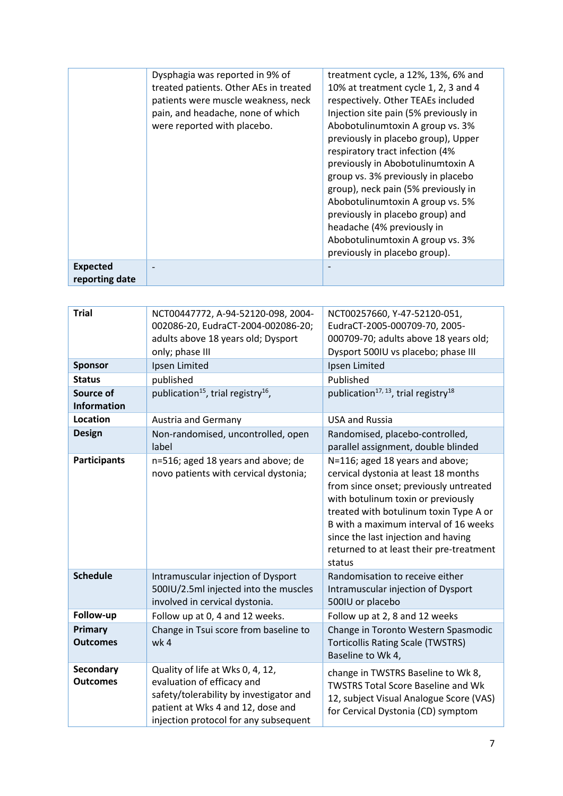|                                   | Dysphagia was reported in 9% of<br>treated patients. Other AEs in treated<br>patients were muscle weakness, neck<br>pain, and headache, none of which<br>were reported with placebo. | treatment cycle, a 12%, 13%, 6% and<br>10% at treatment cycle 1, 2, 3 and 4<br>respectively. Other TEAEs included<br>Injection site pain (5% previously in<br>Abobotulinumtoxin A group vs. 3%<br>previously in placebo group), Upper<br>respiratory tract infection (4%<br>previously in Abobotulinumtoxin A<br>group vs. 3% previously in placebo<br>group), neck pain (5% previously in<br>Abobotulinumtoxin A group vs. 5%<br>previously in placebo group) and<br>headache (4% previously in<br>Abobotulinumtoxin A group vs. 3%<br>previously in placebo group). |
|-----------------------------------|--------------------------------------------------------------------------------------------------------------------------------------------------------------------------------------|-----------------------------------------------------------------------------------------------------------------------------------------------------------------------------------------------------------------------------------------------------------------------------------------------------------------------------------------------------------------------------------------------------------------------------------------------------------------------------------------------------------------------------------------------------------------------|
| <b>Expected</b><br>reporting date |                                                                                                                                                                                      |                                                                                                                                                                                                                                                                                                                                                                                                                                                                                                                                                                       |

<span id="page-6-1"></span><span id="page-6-0"></span>

| <b>Trial</b><br><b>Sponsor</b>  | NCT00447772, A-94-52120-098, 2004-<br>002086-20, EudraCT-2004-002086-20;<br>adults above 18 years old; Dysport<br>only; phase III<br>Ipsen Limited                                      | NCT00257660, Y-47-52120-051,<br>EudraCT-2005-000709-70, 2005-<br>000709-70; adults above 18 years old;<br>Dysport 500IU vs placebo; phase III<br>Ipsen Limited                                                                                                                                                                          |
|---------------------------------|-----------------------------------------------------------------------------------------------------------------------------------------------------------------------------------------|-----------------------------------------------------------------------------------------------------------------------------------------------------------------------------------------------------------------------------------------------------------------------------------------------------------------------------------------|
| <b>Status</b>                   | published                                                                                                                                                                               | Published                                                                                                                                                                                                                                                                                                                               |
| Source of<br><b>Information</b> | publication <sup>15</sup> , trial registry <sup>16</sup> ,                                                                                                                              | publication <sup>17, 13</sup> , trial registry <sup>18</sup>                                                                                                                                                                                                                                                                            |
| Location                        | <b>Austria and Germany</b>                                                                                                                                                              | <b>USA and Russia</b>                                                                                                                                                                                                                                                                                                                   |
| <b>Design</b>                   | Non-randomised, uncontrolled, open<br>label                                                                                                                                             | Randomised, placebo-controlled,<br>parallel assignment, double blinded                                                                                                                                                                                                                                                                  |
| <b>Participants</b>             | n=516; aged 18 years and above; de<br>novo patients with cervical dystonia;                                                                                                             | N=116; aged 18 years and above;<br>cervical dystonia at least 18 months<br>from since onset; previously untreated<br>with botulinum toxin or previously<br>treated with botulinum toxin Type A or<br>B with a maximum interval of 16 weeks<br>since the last injection and having<br>returned to at least their pre-treatment<br>status |
| <b>Schedule</b>                 | Intramuscular injection of Dysport<br>500IU/2.5ml injected into the muscles<br>involved in cervical dystonia.                                                                           | Randomisation to receive either<br>Intramuscular injection of Dysport<br>500IU or placebo                                                                                                                                                                                                                                               |
| Follow-up                       | Follow up at 0, 4 and 12 weeks.                                                                                                                                                         | Follow up at 2, 8 and 12 weeks                                                                                                                                                                                                                                                                                                          |
| Primary<br><b>Outcomes</b>      | Change in Tsui score from baseline to<br>wk4                                                                                                                                            | Change in Toronto Western Spasmodic<br><b>Torticollis Rating Scale (TWSTRS)</b><br>Baseline to Wk 4,                                                                                                                                                                                                                                    |
| Secondary<br><b>Outcomes</b>    | Quality of life at Wks 0, 4, 12,<br>evaluation of efficacy and<br>safety/tolerability by investigator and<br>patient at Wks 4 and 12, dose and<br>injection protocol for any subsequent | change in TWSTRS Baseline to Wk 8,<br><b>TWSTRS Total Score Baseline and Wk</b><br>12, subject Visual Analogue Score (VAS)<br>for Cervical Dystonia (CD) symptom                                                                                                                                                                        |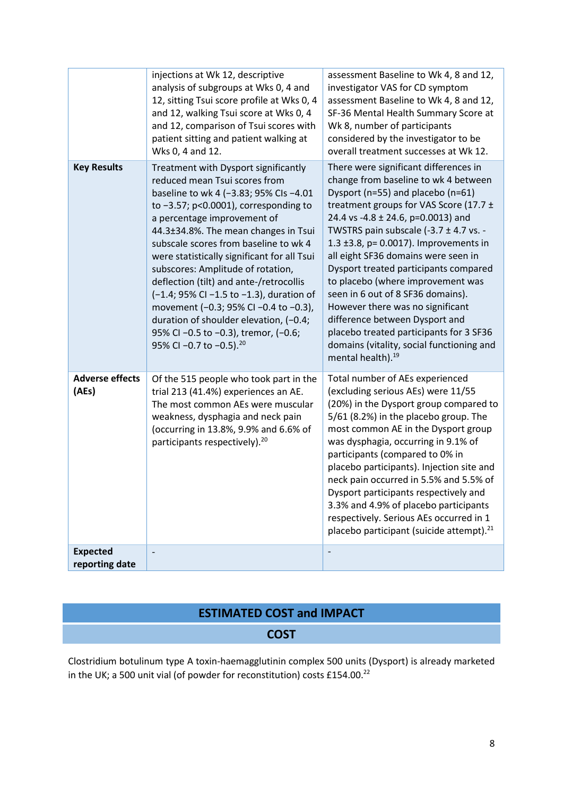|                                   | injections at Wk 12, descriptive<br>analysis of subgroups at Wks 0, 4 and<br>12, sitting Tsui score profile at Wks 0, 4<br>and 12, walking Tsui score at Wks 0, 4<br>and 12, comparison of Tsui scores with<br>patient sitting and patient walking at<br>Wks 0, 4 and 12.                                                                                                                                                                                                                                                                                                                                              | assessment Baseline to Wk 4, 8 and 12,<br>investigator VAS for CD symptom<br>assessment Baseline to Wk 4, 8 and 12,<br>SF-36 Mental Health Summary Score at<br>Wk 8, number of participants<br>considered by the investigator to be<br>overall treatment successes at Wk 12.                                                                                                                                                                                                                                                                                                                                                                                |
|-----------------------------------|------------------------------------------------------------------------------------------------------------------------------------------------------------------------------------------------------------------------------------------------------------------------------------------------------------------------------------------------------------------------------------------------------------------------------------------------------------------------------------------------------------------------------------------------------------------------------------------------------------------------|-------------------------------------------------------------------------------------------------------------------------------------------------------------------------------------------------------------------------------------------------------------------------------------------------------------------------------------------------------------------------------------------------------------------------------------------------------------------------------------------------------------------------------------------------------------------------------------------------------------------------------------------------------------|
| <b>Key Results</b>                | Treatment with Dysport significantly<br>reduced mean Tsui scores from<br>baseline to wk 4 (-3.83; 95% CIs-4.01<br>to $-3.57$ ; p<0.0001), corresponding to<br>a percentage improvement of<br>44.3±34.8%. The mean changes in Tsui<br>subscale scores from baseline to wk 4<br>were statistically significant for all Tsui<br>subscores: Amplitude of rotation,<br>deflection (tilt) and ante-/retrocollis<br>(-1.4; 95% CI-1.5 to -1.3), duration of<br>movement (-0.3; 95% CI -0.4 to -0.3),<br>duration of shoulder elevation, (-0.4;<br>95% CI -0.5 to -0.3), tremor, (-0.6;<br>95% CI -0.7 to -0.5). <sup>20</sup> | There were significant differences in<br>change from baseline to wk 4 between<br>Dysport (n=55) and placebo (n=61)<br>treatment groups for VAS Score (17.7 ±<br>24.4 vs -4.8 ± 24.6, p=0.0013) and<br>TWSTRS pain subscale $(-3.7 \pm 4.7 \text{ vs. } -$<br>1.3 ±3.8, p= 0.0017). Improvements in<br>all eight SF36 domains were seen in<br>Dysport treated participants compared<br>to placebo (where improvement was<br>seen in 6 out of 8 SF36 domains).<br>However there was no significant<br>difference between Dysport and<br>placebo treated participants for 3 SF36<br>domains (vitality, social functioning and<br>mental health). <sup>19</sup> |
| <b>Adverse effects</b><br>(AEs)   | Of the 515 people who took part in the<br>trial 213 (41.4%) experiences an AE.<br>The most common AEs were muscular<br>weakness, dysphagia and neck pain<br>(occurring in 13.8%, 9.9% and 6.6% of<br>participants respectively). <sup>20</sup>                                                                                                                                                                                                                                                                                                                                                                         | Total number of AEs experienced<br>(excluding serious AEs) were 11/55<br>(20%) in the Dysport group compared to<br>5/61 (8.2%) in the placebo group. The<br>most common AE in the Dysport group<br>was dysphagia, occurring in 9.1% of<br>participants (compared to 0% in<br>placebo participants). Injection site and<br>neck pain occurred in 5.5% and 5.5% of<br>Dysport participants respectively and<br>3.3% and 4.9% of placebo participants<br>respectively. Serious AEs occurred in 1<br>placebo participant (suicide attempt). <sup>21</sup>                                                                                                       |
| <b>Expected</b><br>reporting date |                                                                                                                                                                                                                                                                                                                                                                                                                                                                                                                                                                                                                        | $\overline{a}$                                                                                                                                                                                                                                                                                                                                                                                                                                                                                                                                                                                                                                              |

# <span id="page-7-0"></span>**ESTIMATED COST and IMPACT**

# **COST**

Clostridium botulinum type A toxin-haemagglutinin complex 500 units (Dysport) is already marketed in the UK; a 500 unit vial (of powder for reconstitution) costs £154.00.<sup>22</sup>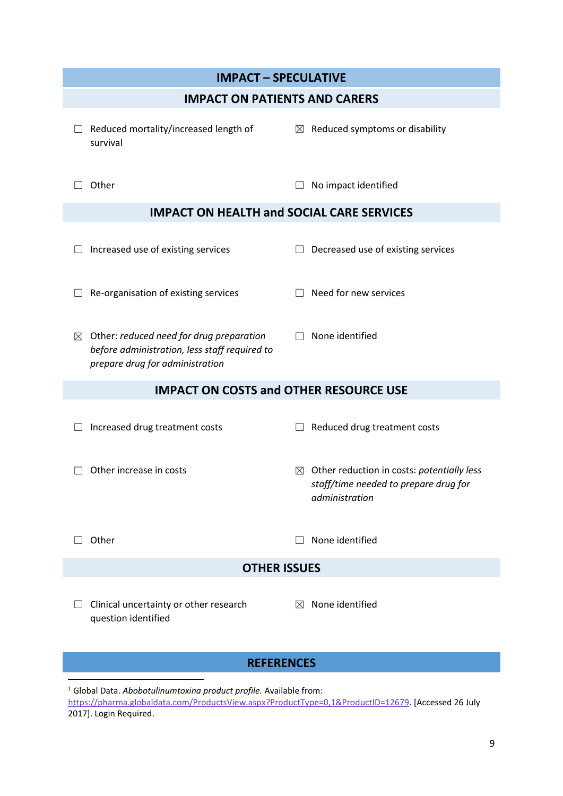| <b>IMPACT - SPECULATIVE</b>                                                                                                              |                                                                                                                    |  |
|------------------------------------------------------------------------------------------------------------------------------------------|--------------------------------------------------------------------------------------------------------------------|--|
| <b>IMPACT ON PATIENTS AND CARERS</b>                                                                                                     |                                                                                                                    |  |
| Reduced mortality/increased length of<br>survival                                                                                        | Reduced symptoms or disability<br>⊠                                                                                |  |
| Other                                                                                                                                    | No impact identified                                                                                               |  |
| <b>IMPACT ON HEALTH and SOCIAL CARE SERVICES</b>                                                                                         |                                                                                                                    |  |
| Increased use of existing services                                                                                                       | Decreased use of existing services                                                                                 |  |
| Re-organisation of existing services                                                                                                     | Need for new services<br>П                                                                                         |  |
| $\boxtimes$ Other: reduced need for drug preparation<br>before administration, less staff required to<br>prepare drug for administration | None identified<br>$\perp$                                                                                         |  |
| <b>IMPACT ON COSTS and OTHER RESOURCE USE</b>                                                                                            |                                                                                                                    |  |
| Increased drug treatment costs                                                                                                           | Reduced drug treatment costs                                                                                       |  |
| Other increase in costs                                                                                                                  | Other reduction in costs: potentially less<br>$\bowtie$<br>staff/time needed to prepare drug for<br>administration |  |
| Other                                                                                                                                    | None identified                                                                                                    |  |
| <b>OTHER ISSUES</b>                                                                                                                      |                                                                                                                    |  |
| Clinical uncertainty or other research<br>question identified                                                                            | $\boxtimes$ None identified                                                                                        |  |
|                                                                                                                                          |                                                                                                                    |  |
| <b>REFERENCES</b>                                                                                                                        |                                                                                                                    |  |

<sup>1</sup> Global Data. *Abobotulinumtoxina product profile.* Available from: [https://pharma.globaldata.com/ProductsView.aspx?ProductType=0,1&ProductID=12679.](https://pharma.globaldata.com/ProductsView.aspx?ProductType=0,1&ProductID=12679) [Accessed 26 July 2017]. Login Required.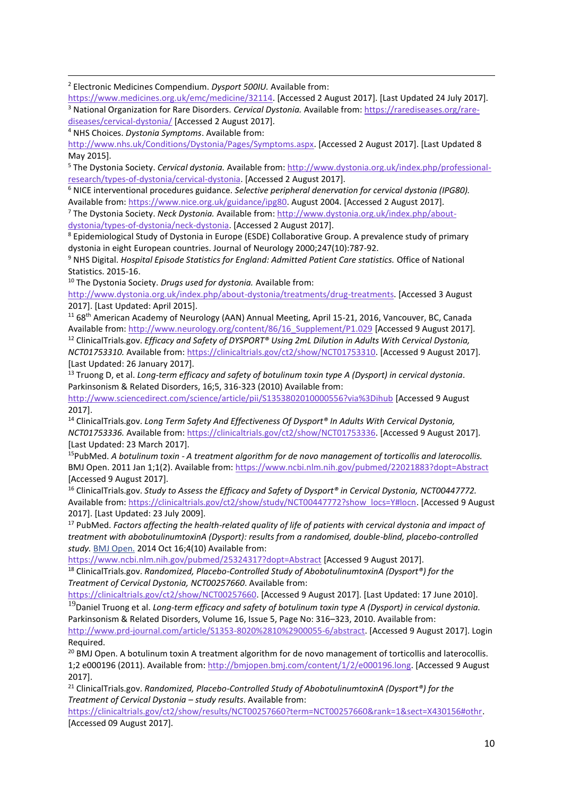<sup>2</sup> Electronic Medicines Compendium. *Dysport 500IU.* Available from:

[https://www.medicines.org.uk/emc/medicine/32114.](https://www.medicines.org.uk/emc/medicine/32114) [Accessed 2 August 2017]. [Last Updated 24 July 2017]. <sup>3</sup> National Organization for Rare Disorders. *Cervical Dystonia.* Available from[: https://rarediseases.org/rare](https://rarediseases.org/rare-diseases/cervical-dystonia/)[diseases/cervical-dystonia/](https://rarediseases.org/rare-diseases/cervical-dystonia/) [Accessed 2 August 2017].

<sup>4</sup> NHS Choices. *Dystonia Symptoms*. Available from:

1

[http://www.nhs.uk/Conditions/Dystonia/Pages/Symptoms.aspx.](http://www.nhs.uk/Conditions/Dystonia/Pages/Symptoms.aspx) [Accessed 2 August 2017]. [Last Updated 8 May 2015].

<sup>5</sup> The Dystonia Society. *Cervical dystonia.* Available from: [http://www.dystonia.org.uk/index.php/professional](http://www.dystonia.org.uk/index.php/professional-research/types-of-dystonia/cervical-dystonia)[research/types-of-dystonia/cervical-dystonia.](http://www.dystonia.org.uk/index.php/professional-research/types-of-dystonia/cervical-dystonia) [Accessed 2 August 2017].

<sup>6</sup> NICE interventional procedures guidance. *Selective peripheral denervation for cervical dystonia (IPG80).*  Available from: [https://www.nice.org.uk/guidance/ipg80.](https://www.nice.org.uk/guidance/ipg80) August 2004. [Accessed 2 August 2017].

<sup>7</sup> The Dystonia Society. *Neck Dystonia.* Available from: [http://www.dystonia.org.uk/index.php/about](http://www.dystonia.org.uk/index.php/about-dystonia/types-of-dystonia/neck-dystonia)[dystonia/types-of-dystonia/neck-dystonia.](http://www.dystonia.org.uk/index.php/about-dystonia/types-of-dystonia/neck-dystonia) [Accessed 2 August 2017].

<sup>8</sup> Epidemiological Study of Dystonia in Europe (ESDE) Collaborative Group. A prevalence study of primary dystonia in eight European countries. Journal of Neurology 2000;247(10):787-92.

<sup>9</sup> NHS Digital. *Hospital Episode Statistics for England: Admitted Patient Care statistics.* Office of National Statistics. 2015-16.

<sup>10</sup> The Dystonia Society. *Drugs used for dystonia.* Available from:

[http://www.dystonia.org.uk/index.php/about-dystonia/treatments/drug-treatments.](http://www.dystonia.org.uk/index.php/about-dystonia/treatments/drug-treatments) [Accessed 3 August 2017]. [Last Updated: April 2015].

<sup>11</sup> 68th American Academy of Neurology (AAN) Annual Meeting, April 15-21, 2016, Vancouver, BC, Canada Available from: [http://www.neurology.org/content/86/16\\_Supplement/P1.029](http://www.neurology.org/content/86/16_Supplement/P1.029) [Accessed 9 August 2017]. <sup>12</sup> ClinicalTrials.gov. *Efficacy and Safety of DYSPORT® Using 2mL Dilution in Adults With Cervical Dystonia, NCT01753310.* Available from: [https://clinicaltrials.gov/ct2/show/NCT01753310.](https://clinicaltrials.gov/ct2/show/NCT01753310) [Accessed 9 August 2017]. [Last Updated: 26 January 2017].

<sup>13</sup> Truong D, et al. *Long-term efficacy and safety of botulinum toxin type A (Dysport) in cervical dystonia.*  Parkinsonism & Related Disorders, 16;5, 316-323 (2010) Available from:

<http://www.sciencedirect.com/science/article/pii/S1353802010000556?via%3Dihub> [Accessed 9 August 2017].

<sup>14</sup> ClinicalTrials.gov. *Long Term Safety And Effectiveness Of Dysport® In Adults With Cervical Dystonia, NCT01753336.* Available from: [https://clinicaltrials.gov/ct2/show/NCT01753336.](https://clinicaltrials.gov/ct2/show/NCT01753336) [Accessed 9 August 2017]. [Last Updated: 23 March 2017].

<sup>15</sup>PubMed. *A botulinum toxin - A treatment algorithm for de novo management of torticollis and laterocollis.* BMJ Open. 2011 Jan 1;1(2). Available from:<https://www.ncbi.nlm.nih.gov/pubmed/22021883?dopt=Abstract> [Accessed 9 August 2017].

<sup>16</sup> ClinicalTrials.gov. *Study to Assess the Efficacy and Safety of Dysport® in Cervical Dystonia, NCT00447772.*  Available from: [https://clinicaltrials.gov/ct2/show/study/NCT00447772?show\\_locs=Y#locn.](https://clinicaltrials.gov/ct2/show/study/NCT00447772?show_locs=Y#locn) [Accessed 9 August 2017]. [Last Updated: 23 July 2009].

<sup>17</sup> PubMed. *Factors affecting the health-related quality of life of patients with cervical dystonia and impact of treatment with abobotulinumtoxinA (Dysport): results from a randomised, double-blind, placebo-controlled study.* BMJ Open. 2014 Oct 16;4(10) Available from:

<https://www.ncbi.nlm.nih.gov/pubmed/25324317?dopt=Abstract> [Accessed 9 August 2017].

<sup>18</sup> ClinicalTrials.gov. *Randomized, Placebo-Controlled Study of AbobotulinumtoxinA (Dysport®) for the Treatment of Cervical Dystonia, NCT00257660*. Available from:

[https://clinicaltrials.gov/ct2/show/NCT00257660.](https://clinicaltrials.gov/ct2/show/NCT00257660) [Accessed 9 August 2017]. [Last Updated: 17 June 2010]. <sup>19</sup>Daniel Truong et al. *Long-term efficacy and safety of botulinum toxin type A (Dysport) in cervical dystonia.* Parkinsonism & Related Disorders, Volume 16, Issue 5, Page No: 316–323, 2010. Available from:

[http://www.prd-journal.com/article/S1353-8020%2810%2900055-6/abstract.](http://www.prd-journal.com/article/S1353-8020%2810%2900055-6/abstract) [Accessed 9 August 2017]. Login Required.

<sup>20</sup> BMJ Open. A botulinum toxin A treatment algorithm for de novo management of torticollis and laterocollis. 1;2 e000196 (2011). Available from: [http://bmjopen.bmj.com/content/1/2/e000196.long.](http://bmjopen.bmj.com/content/1/2/e000196.long) [Accessed 9 August 2017].

<sup>21</sup> ClinicalTrials.gov. *Randomized, Placebo-Controlled Study of AbobotulinumtoxinA (Dysport®) for the Treatment of Cervical Dystonia – study results*. Available from:

[https://clinicaltrials.gov/ct2/show/results/NCT00257660?term=NCT00257660&rank=1&sect=X430156#othr.](https://clinicaltrials.gov/ct2/show/results/NCT00257660?term=NCT00257660&rank=1§=X430156#othr) [Accessed 09 August 2017].